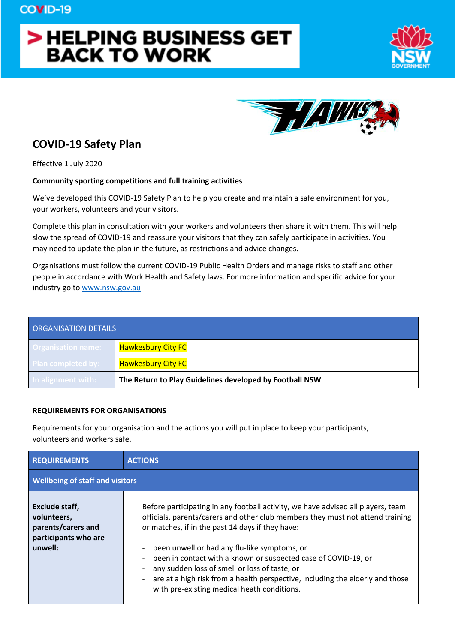# > HELPING BUSINESS GET **BACK TO WORK**





# **COVID-19 Safety Plan**

Effective 1 July 2020

#### **Community sporting competitions and full training activities**

We've developed this COVID-19 Safety Plan to help you create and maintain a safe environment for you, your workers, volunteers and your visitors.

Complete this plan in consultation with your workers and volunteers then share it with them. This will help slow the spread of COVID-19 and reassure your visitors that they can safely participate in activities. You may need to update the plan in the future, as restrictions and advice changes.

Organisations must follow the current COVID-19 Public Health Orders and manage risks to staff and other people in accordance with Work Health and Safety laws. For more information and specific advice for your industry go to www.nsw.gov.au

| <b>ORGANISATION DETAILS</b> |                                                         |  |
|-----------------------------|---------------------------------------------------------|--|
| <b>Organisation name:</b>   | <b>Hawkesbury City FC</b>                               |  |
| <b>Plan completed by:</b>   | <b>Hawkesbury City FC</b>                               |  |
| In alignment with:          | The Return to Play Guidelines developed by Football NSW |  |

#### **REQUIREMENTS FOR ORGANISATIONS**

Requirements for your organisation and the actions you will put in place to keep your participants, volunteers and workers safe.

| <b>REQUIREMENTS</b>                                                                    | <b>ACTIONS</b>                                                                                                                                                                                                                                                                                                                                                                                                                                                                                                            |  |
|----------------------------------------------------------------------------------------|---------------------------------------------------------------------------------------------------------------------------------------------------------------------------------------------------------------------------------------------------------------------------------------------------------------------------------------------------------------------------------------------------------------------------------------------------------------------------------------------------------------------------|--|
| <b>Wellbeing of staff and visitors</b>                                                 |                                                                                                                                                                                                                                                                                                                                                                                                                                                                                                                           |  |
| Exclude staff,<br>volunteers,<br>parents/carers and<br>participants who are<br>unwell: | Before participating in any football activity, we have advised all players, team<br>officials, parents/carers and other club members they must not attend training<br>or matches, if in the past 14 days if they have:<br>been unwell or had any flu-like symptoms, or<br>been in contact with a known or suspected case of COVID-19, or<br>any sudden loss of smell or loss of taste, or<br>are at a high risk from a health perspective, including the elderly and those<br>with pre-existing medical heath conditions. |  |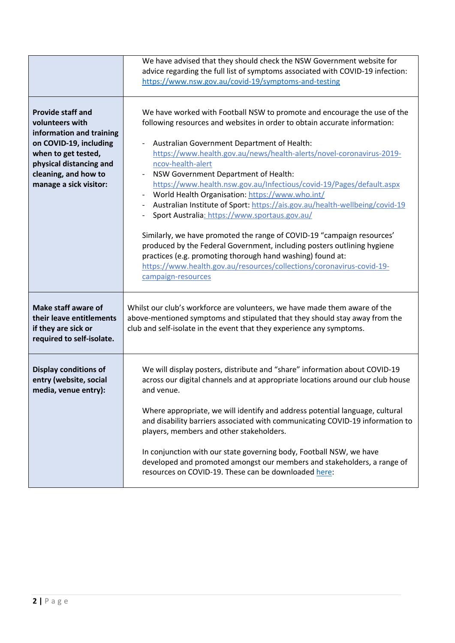|                                                                                                                                                                                                       | We have advised that they should check the NSW Government website for<br>advice regarding the full list of symptoms associated with COVID-19 infection:<br>https://www.nsw.gov.au/covid-19/symptoms-and-testing                                                                                                                                                                                                                                                                                                                                                                                                                                                                                                                                                                                                                                                                                  |
|-------------------------------------------------------------------------------------------------------------------------------------------------------------------------------------------------------|--------------------------------------------------------------------------------------------------------------------------------------------------------------------------------------------------------------------------------------------------------------------------------------------------------------------------------------------------------------------------------------------------------------------------------------------------------------------------------------------------------------------------------------------------------------------------------------------------------------------------------------------------------------------------------------------------------------------------------------------------------------------------------------------------------------------------------------------------------------------------------------------------|
| <b>Provide staff and</b><br>volunteers with<br>information and training<br>on COVID-19, including<br>when to get tested,<br>physical distancing and<br>cleaning, and how to<br>manage a sick visitor: | We have worked with Football NSW to promote and encourage the use of the<br>following resources and websites in order to obtain accurate information:<br>Australian Government Department of Health:<br>https://www.health.gov.au/news/health-alerts/novel-coronavirus-2019-<br>ncov-health-alert<br>NSW Government Department of Health:<br>https://www.health.nsw.gov.au/Infectious/covid-19/Pages/default.aspx<br>World Health Organisation: https://www.who.int/<br>Australian Institute of Sport: https://ais.gov.au/health-wellbeing/covid-19<br>Sport Australia: https://www.sportaus.gov.au/<br>Similarly, we have promoted the range of COVID-19 "campaign resources'<br>produced by the Federal Government, including posters outlining hygiene<br>practices (e.g. promoting thorough hand washing) found at:<br>https://www.health.gov.au/resources/collections/coronavirus-covid-19- |
|                                                                                                                                                                                                       | campaign-resources                                                                                                                                                                                                                                                                                                                                                                                                                                                                                                                                                                                                                                                                                                                                                                                                                                                                               |
| <b>Make staff aware of</b><br>their leave entitlements<br>if they are sick or<br>required to self-isolate.                                                                                            | Whilst our club's workforce are volunteers, we have made them aware of the<br>above-mentioned symptoms and stipulated that they should stay away from the<br>club and self-isolate in the event that they experience any symptoms.                                                                                                                                                                                                                                                                                                                                                                                                                                                                                                                                                                                                                                                               |
| <b>Display conditions of</b><br>entry (website, social<br>media, venue entry):                                                                                                                        | We will display posters, distribute and "share" information about COVID-19<br>across our digital channels and at appropriate locations around our club house<br>and venue.<br>Where appropriate, we will identify and address potential language, cultural<br>and disability barriers associated with communicating COVID-19 information to<br>players, members and other stakeholders.<br>In conjunction with our state governing body, Football NSW, we have                                                                                                                                                                                                                                                                                                                                                                                                                                   |
|                                                                                                                                                                                                       | developed and promoted amongst our members and stakeholders, a range of<br>resources on COVID-19. These can be downloaded here:                                                                                                                                                                                                                                                                                                                                                                                                                                                                                                                                                                                                                                                                                                                                                                  |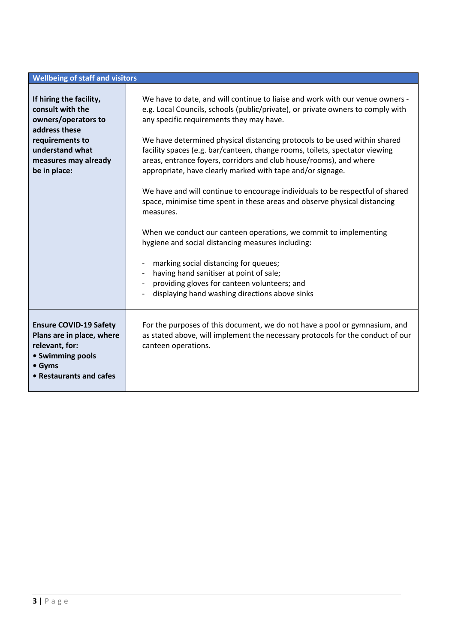### **Wellbeing of staff and visitors**

| If hiring the facility,<br>consult with the<br>owners/operators to<br>address these<br>requirements to<br>understand what<br>measures may already<br>be in place: | We have to date, and will continue to liaise and work with our venue owners -<br>e.g. Local Councils, schools (public/private), or private owners to comply with<br>any specific requirements they may have.<br>We have determined physical distancing protocols to be used within shared<br>facility spaces (e.g. bar/canteen, change rooms, toilets, spectator viewing<br>areas, entrance foyers, corridors and club house/rooms), and where<br>appropriate, have clearly marked with tape and/or signage.<br>We have and will continue to encourage individuals to be respectful of shared<br>space, minimise time spent in these areas and observe physical distancing<br>measures.<br>When we conduct our canteen operations, we commit to implementing<br>hygiene and social distancing measures including:<br>marking social distancing for queues;<br>having hand sanitiser at point of sale;<br>$\overline{\phantom{a}}$<br>providing gloves for canteen volunteers; and<br>displaying hand washing directions above sinks |  |
|-------------------------------------------------------------------------------------------------------------------------------------------------------------------|-------------------------------------------------------------------------------------------------------------------------------------------------------------------------------------------------------------------------------------------------------------------------------------------------------------------------------------------------------------------------------------------------------------------------------------------------------------------------------------------------------------------------------------------------------------------------------------------------------------------------------------------------------------------------------------------------------------------------------------------------------------------------------------------------------------------------------------------------------------------------------------------------------------------------------------------------------------------------------------------------------------------------------------|--|
| <b>Ensure COVID-19 Safety</b><br>Plans are in place, where<br>relevant, for:<br>• Swimming pools<br>• Gyms<br>• Restaurants and cafes                             | For the purposes of this document, we do not have a pool or gymnasium, and<br>as stated above, will implement the necessary protocols for the conduct of our<br>canteen operations.                                                                                                                                                                                                                                                                                                                                                                                                                                                                                                                                                                                                                                                                                                                                                                                                                                                 |  |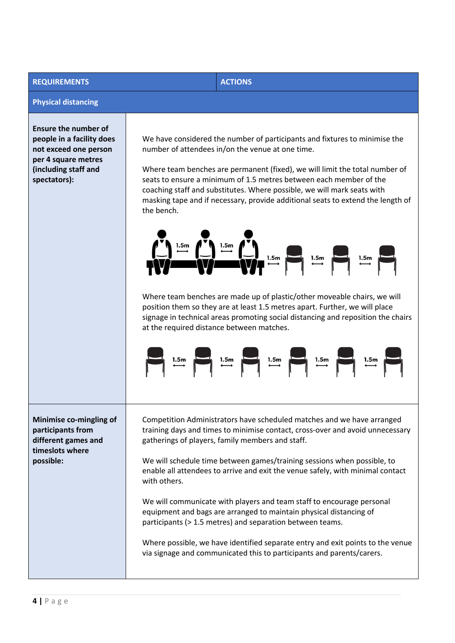## **REQUIREMENTS ACTIONS**

#### **Physical distancing**

**Ensure the number of people in a facility does not exceed one person per 4 square metres (including staff and spectators):**

We have considered the number of participants and fixtures to minimise the number of attendees in/on the venue at one time.

Where team benches are permanent (fixed), we will limit the total number of seats to ensure a minimum of 1.5 metres between each member of the coaching staff and substitutes. Where possible, we will mark seats with masking tape and if necessary, provide additional seats to extend the length of the bench.



Where team benches are made up of plastic/other moveable chairs, we will position them so they are at least 1.5 metres apart. Further, we will place signage in technical areas promoting social distancing and reposition the chairs at the required distance between matches.



**Minimise co-mingling of participants from different games and timeslots where possible:**

Competition Administrators have scheduled matches and we have arranged training days and times to minimise contact, cross-over and avoid unnecessary gatherings of players, family members and staff.

We will schedule time between games/training sessions when possible, to enable all attendees to arrive and exit the venue safely, with minimal contact with others.

We will communicate with players and team staff to encourage personal equipment and bags are arranged to maintain physical distancing of participants (> 1.5 metres) and separation between teams.

Where possible, we have identified separate entry and exit points to the venue via signage and communicated this to participants and parents/carers.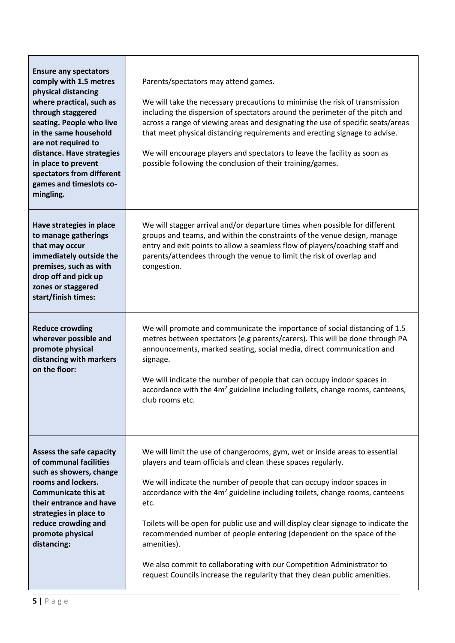| <b>Ensure any spectators</b><br>comply with 1.5 metres<br>physical distancing<br>where practical, such as<br>through staggered<br>seating. People who live<br>in the same household<br>are not required to<br>distance. Have strategies<br>in place to prevent<br>spectators from different<br>games and timeslots co-<br>mingling. | Parents/spectators may attend games.<br>We will take the necessary precautions to minimise the risk of transmission<br>including the dispersion of spectators around the perimeter of the pitch and<br>across a range of viewing areas and designating the use of specific seats/areas<br>that meet physical distancing requirements and erecting signage to advise.<br>We will encourage players and spectators to leave the facility as soon as<br>possible following the conclusion of their training/games.                                                                                                                                              |
|-------------------------------------------------------------------------------------------------------------------------------------------------------------------------------------------------------------------------------------------------------------------------------------------------------------------------------------|--------------------------------------------------------------------------------------------------------------------------------------------------------------------------------------------------------------------------------------------------------------------------------------------------------------------------------------------------------------------------------------------------------------------------------------------------------------------------------------------------------------------------------------------------------------------------------------------------------------------------------------------------------------|
| Have strategies in place<br>to manage gatherings<br>that may occur<br>immediately outside the<br>premises, such as with<br>drop off and pick up<br>zones or staggered<br>start/finish times:                                                                                                                                        | We will stagger arrival and/or departure times when possible for different<br>groups and teams, and within the constraints of the venue design, manage<br>entry and exit points to allow a seamless flow of players/coaching staff and<br>parents/attendees through the venue to limit the risk of overlap and<br>congestion.                                                                                                                                                                                                                                                                                                                                |
| <b>Reduce crowding</b><br>wherever possible and<br>promote physical<br>distancing with markers<br>on the floor:                                                                                                                                                                                                                     | We will promote and communicate the importance of social distancing of 1.5<br>metres between spectators (e.g parents/carers). This will be done through PA<br>announcements, marked seating, social media, direct communication and<br>signage.<br>We will indicate the number of people that can occupy indoor spaces in<br>accordance with the 4m <sup>2</sup> guideline including toilets, change rooms, canteens,<br>club rooms etc.                                                                                                                                                                                                                     |
| Assess the safe capacity<br>of communal facilities<br>such as showers, change<br>rooms and lockers.<br><b>Communicate this at</b><br>their entrance and have<br>strategies in place to<br>reduce crowding and<br>promote physical<br>distancing:                                                                                    | We will limit the use of changerooms, gym, wet or inside areas to essential<br>players and team officials and clean these spaces regularly.<br>We will indicate the number of people that can occupy indoor spaces in<br>accordance with the 4m <sup>2</sup> guideline including toilets, change rooms, canteens<br>etc.<br>Toilets will be open for public use and will display clear signage to indicate the<br>recommended number of people entering (dependent on the space of the<br>amenities).<br>We also commit to collaborating with our Competition Administrator to<br>request Councils increase the regularity that they clean public amenities. |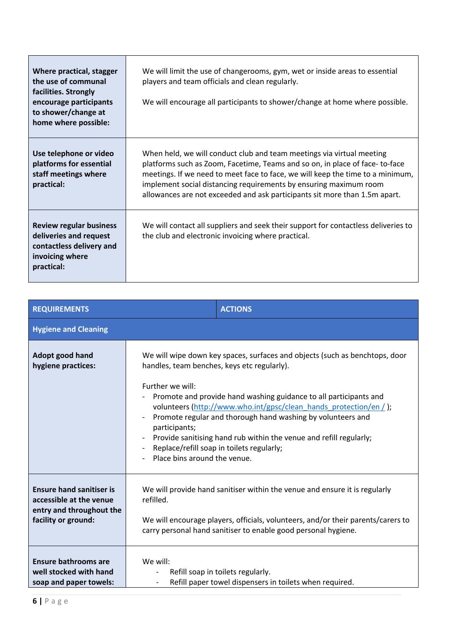| Where practical, stagger<br>the use of communal<br>facilities. Strongly<br>encourage participants<br>to shower/change at<br>home where possible: | We will limit the use of changerooms, gym, wet or inside areas to essential<br>players and team officials and clean regularly.<br>We will encourage all participants to shower/change at home where possible.                                                                                                                                                                             |
|--------------------------------------------------------------------------------------------------------------------------------------------------|-------------------------------------------------------------------------------------------------------------------------------------------------------------------------------------------------------------------------------------------------------------------------------------------------------------------------------------------------------------------------------------------|
| Use telephone or video<br>platforms for essential<br>staff meetings where<br>practical:                                                          | When held, we will conduct club and team meetings via virtual meeting<br>platforms such as Zoom, Facetime, Teams and so on, in place of face-to-face<br>meetings. If we need to meet face to face, we will keep the time to a minimum,<br>implement social distancing requirements by ensuring maximum room<br>allowances are not exceeded and ask participants sit more than 1.5m apart. |
| <b>Review regular business</b><br>deliveries and request<br>contactless delivery and<br>invoicing where<br>practical:                            | We will contact all suppliers and seek their support for contactless deliveries to<br>the club and electronic invoicing where practical.                                                                                                                                                                                                                                                  |

| <b>REQUIREMENTS</b>                                                                                           |                                                                                                                                                                                                                                                                                                                                                                                                                                                                                                                              | <b>ACTIONS</b>                                                                               |
|---------------------------------------------------------------------------------------------------------------|------------------------------------------------------------------------------------------------------------------------------------------------------------------------------------------------------------------------------------------------------------------------------------------------------------------------------------------------------------------------------------------------------------------------------------------------------------------------------------------------------------------------------|----------------------------------------------------------------------------------------------|
| <b>Hygiene and Cleaning</b>                                                                                   |                                                                                                                                                                                                                                                                                                                                                                                                                                                                                                                              |                                                                                              |
| Adopt good hand<br>hygiene practices:                                                                         | We will wipe down key spaces, surfaces and objects (such as benchtops, door<br>handles, team benches, keys etc regularly).<br>Further we will:<br>Promote and provide hand washing guidance to all participants and<br>volunteers (http://www.who.int/gpsc/clean_hands_protection/en / );<br>Promote regular and thorough hand washing by volunteers and<br>participants;<br>Provide sanitising hand rub within the venue and refill regularly;<br>Replace/refill soap in toilets regularly;<br>Place bins around the venue. |                                                                                              |
| <b>Ensure hand sanitiser is</b><br>accessible at the venue<br>entry and throughout the<br>facility or ground: | We will provide hand sanitiser within the venue and ensure it is regularly<br>refilled.<br>We will encourage players, officials, volunteers, and/or their parents/carers to<br>carry personal hand sanitiser to enable good personal hygiene.                                                                                                                                                                                                                                                                                |                                                                                              |
| Ensure bathrooms are<br>well stocked with hand<br>soap and paper towels:                                      | We will:                                                                                                                                                                                                                                                                                                                                                                                                                                                                                                                     | Refill soap in toilets regularly.<br>Refill paper towel dispensers in toilets when required. |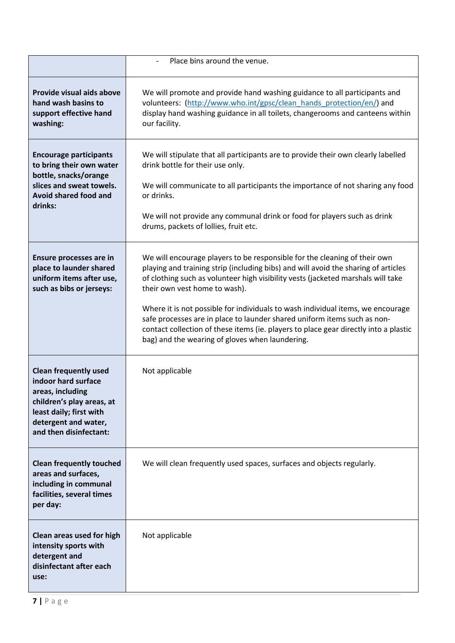|                                                                                                                                                                                   | Place bins around the venue.                                                                                                                                                                                                                                                                                                                                                                                                                                                                                                                                                                   |
|-----------------------------------------------------------------------------------------------------------------------------------------------------------------------------------|------------------------------------------------------------------------------------------------------------------------------------------------------------------------------------------------------------------------------------------------------------------------------------------------------------------------------------------------------------------------------------------------------------------------------------------------------------------------------------------------------------------------------------------------------------------------------------------------|
| Provide visual aids above<br>hand wash basins to<br>support effective hand<br>washing:                                                                                            | We will promote and provide hand washing guidance to all participants and<br>volunteers: (http://www.who.int/gpsc/clean_hands_protection/en/) and<br>display hand washing guidance in all toilets, changerooms and canteens within<br>our facility.                                                                                                                                                                                                                                                                                                                                            |
| <b>Encourage participants</b><br>to bring their own water<br>bottle, snacks/orange<br>slices and sweat towels.<br>Avoid shared food and<br>drinks:                                | We will stipulate that all participants are to provide their own clearly labelled<br>drink bottle for their use only.<br>We will communicate to all participants the importance of not sharing any food<br>or drinks.<br>We will not provide any communal drink or food for players such as drink<br>drums, packets of lollies, fruit etc.                                                                                                                                                                                                                                                     |
| Ensure processes are in<br>place to launder shared<br>uniform items after use,<br>such as bibs or jerseys:                                                                        | We will encourage players to be responsible for the cleaning of their own<br>playing and training strip (including bibs) and will avoid the sharing of articles<br>of clothing such as volunteer high visibility vests (jacketed marshals will take<br>their own vest home to wash).<br>Where it is not possible for individuals to wash individual items, we encourage<br>safe processes are in place to launder shared uniform items such as non-<br>contact collection of these items (ie. players to place gear directly into a plastic<br>bag) and the wearing of gloves when laundering. |
| <b>Clean frequently used</b><br>indoor hard surface<br>areas, including<br>children's play areas, at<br>least daily; first with<br>detergent and water,<br>and then disinfectant: | Not applicable                                                                                                                                                                                                                                                                                                                                                                                                                                                                                                                                                                                 |
| <b>Clean frequently touched</b><br>areas and surfaces,<br>including in communal<br>facilities, several times<br>per day:                                                          | We will clean frequently used spaces, surfaces and objects regularly.                                                                                                                                                                                                                                                                                                                                                                                                                                                                                                                          |
| Clean areas used for high<br>intensity sports with<br>detergent and<br>disinfectant after each<br>use:                                                                            | Not applicable                                                                                                                                                                                                                                                                                                                                                                                                                                                                                                                                                                                 |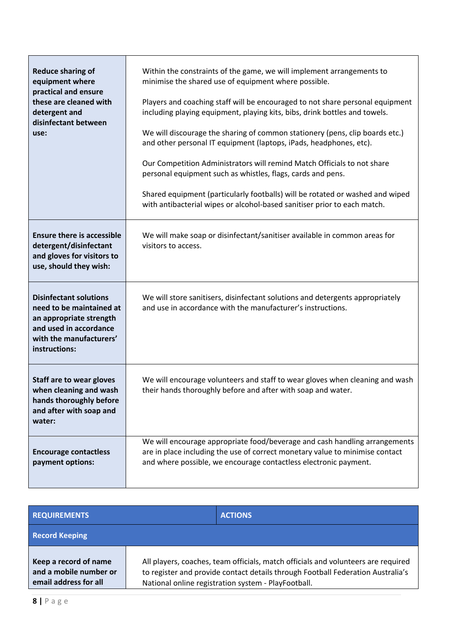| <b>Reduce sharing of</b><br>equipment where<br>practical and ensure<br>these are cleaned with<br>detergent and<br>disinfectant between<br>use:             | Within the constraints of the game, we will implement arrangements to<br>minimise the shared use of equipment where possible.<br>Players and coaching staff will be encouraged to not share personal equipment<br>including playing equipment, playing kits, bibs, drink bottles and towels.<br>We will discourage the sharing of common stationery (pens, clip boards etc.)<br>and other personal IT equipment (laptops, iPads, headphones, etc).<br>Our Competition Administrators will remind Match Officials to not share<br>personal equipment such as whistles, flags, cards and pens.<br>Shared equipment (particularly footballs) will be rotated or washed and wiped<br>with antibacterial wipes or alcohol-based sanitiser prior to each match. |  |
|------------------------------------------------------------------------------------------------------------------------------------------------------------|-----------------------------------------------------------------------------------------------------------------------------------------------------------------------------------------------------------------------------------------------------------------------------------------------------------------------------------------------------------------------------------------------------------------------------------------------------------------------------------------------------------------------------------------------------------------------------------------------------------------------------------------------------------------------------------------------------------------------------------------------------------|--|
| <b>Ensure there is accessible</b><br>detergent/disinfectant<br>and gloves for visitors to<br>use, should they wish:                                        | We will make soap or disinfectant/sanitiser available in common areas for<br>visitors to access.                                                                                                                                                                                                                                                                                                                                                                                                                                                                                                                                                                                                                                                          |  |
| <b>Disinfectant solutions</b><br>need to be maintained at<br>an appropriate strength<br>and used in accordance<br>with the manufacturers'<br>instructions: | We will store sanitisers, disinfectant solutions and detergents appropriately<br>and use in accordance with the manufacturer's instructions.                                                                                                                                                                                                                                                                                                                                                                                                                                                                                                                                                                                                              |  |
| <b>Staff are to wear gloves</b><br>when cleaning and wash<br>hands thoroughly before<br>and after with soap and<br>water:                                  | We will encourage volunteers and staff to wear gloves when cleaning and wash<br>their hands thoroughly before and after with soap and water.                                                                                                                                                                                                                                                                                                                                                                                                                                                                                                                                                                                                              |  |
| <b>Encourage contactless</b><br>payment options:                                                                                                           | We will encourage appropriate food/beverage and cash handling arrangements<br>are in place including the use of correct monetary value to minimise contact<br>and where possible, we encourage contactless electronic payment.                                                                                                                                                                                                                                                                                                                                                                                                                                                                                                                            |  |

| <b>REQUIREMENTS</b>                                                      | <b>ACTIONS</b>                                                                                                                                                                                                              |
|--------------------------------------------------------------------------|-----------------------------------------------------------------------------------------------------------------------------------------------------------------------------------------------------------------------------|
| <b>Record Keeping</b>                                                    |                                                                                                                                                                                                                             |
| Keep a record of name<br>and a mobile number or<br>email address for all | All players, coaches, team officials, match officials and volunteers are required<br>to register and provide contact details through Football Federation Australia's<br>National online registration system - PlayFootball. |